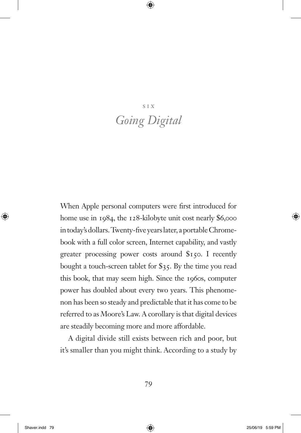# six *Going Digital*

When Apple personal computers were first introduced for home use in 1984, the 128-kilobyte unit cost nearly \$6,000 in today's dollars. Twenty-five years later, a portable Chromebook with a full color screen, Internet capability, and vastly greater processing power costs around \$150. I recently bought a touch-screen tablet for \$35. By the time you read this book, that may seem high. Since the 1960s, computer power has doubled about every two years. This phenomenon has been so steady and predictable that it has come to be referred to as Moore's Law. A corollary is that digital devices are steadily becoming more and more affordable.

A digital divide still exists between rich and poor, but it's smaller than you might think. According to a study by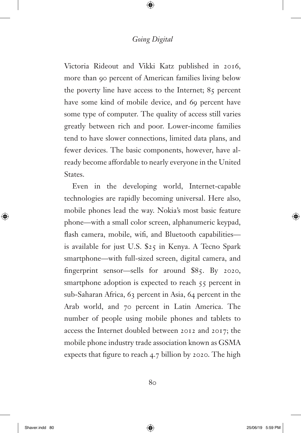Victoria Rideout and Vikki Katz published in 2016, more than 90 percent of American families living below the poverty line have access to the Internet; 85 percent have some kind of mobile device, and 69 percent have some type of computer. The quality of access still varies greatly between rich and poor. Lower-income families tend to have slower connections, limited data plans, and fewer devices. The basic components, however, have already become affordable to nearly everyone in the United States.

Even in the developing world, Internet-capable technologies are rapidly becoming universal. Here also, mobile phones lead the way. Nokia's most basic feature phone—with a small color screen, alphanumeric keypad, flash camera, mobile, wifi, and Bluetooth capabilities is available for just U.S. \$25 in Kenya. A Tecno Spark smartphone—with full-sized screen, digital camera, and fingerprint sensor—sells for around  $$85$ . By 2020, smartphone adoption is expected to reach  $55$  percent in sub-Saharan Africa, 63 percent in Asia, 64 percent in the Arab world, and 70 percent in Latin America. The number of people using mobile phones and tablets to access the Internet doubled between 2012 and 2017; the mobile phone industry trade association known as GSMA expects that figure to reach  $4.7$  billion by 2020. The high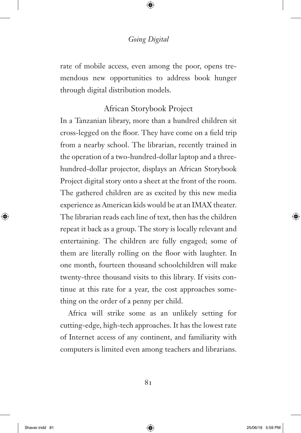rate of mobile access, even among the poor, opens tremendous new opportunities to address book hunger through digital distribution models.

#### African Storybook Project

In a Tanzanian library, more than a hundred children sit cross-legged on the floor. They have come on a field trip from a nearby school. The librarian, recently trained in the operation of a two-hundred-dollar laptop and a threehundred-dollar projector, displays an African Storybook Project digital story onto a sheet at the front of the room. The gathered children are as excited by this new media experience as American kids would be at an IMAX theater. The librarian reads each line of text, then has the children repeat it back as a group. The story is locally relevant and entertaining. The children are fully engaged; some of them are literally rolling on the floor with laughter. In one month, fourteen thousand schoolchildren will make twenty-three thousand visits to this library. If visits continue at this rate for a year, the cost approaches something on the order of a penny per child.

Africa will strike some as an unlikely setting for cutting-edge, high-tech approaches. It has the lowest rate of Internet access of any continent, and familiarity with computers is limited even among teachers and librarians.

 $8<sub>1</sub>$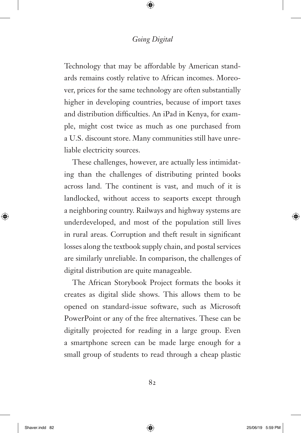Technology that may be affordable by American standards remains costly relative to African incomes. Moreover, prices for the same technology are often substantially higher in developing countries, because of import taxes and distribution difficulties. An iPad in Kenya, for example, might cost twice as much as one purchased from a U.S. discount store. Many communities still have unreliable electricity sources.

These challenges, however, are actually less intimidating than the challenges of distributing printed books across land. The continent is vast, and much of it is landlocked, without access to seaports except through a neighboring country. Railways and highway systems are underdeveloped, and most of the population still lives in rural areas. Corruption and theft result in significant losses along the textbook supply chain, and postal services are similarly unreliable. In comparison, the challenges of digital distribution are quite manageable.

The African Storybook Project formats the books it creates as digital slide shows. This allows them to be opened on standard-issue software, such as Microsoft PowerPoint or any of the free alternatives. These can be digitally projected for reading in a large group. Even a smartphone screen can be made large enough for a small group of students to read through a cheap plastic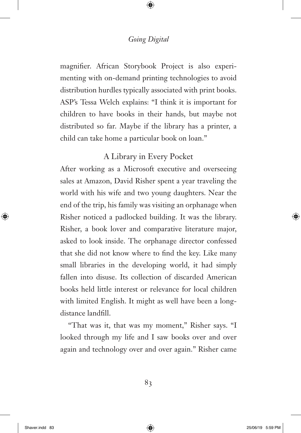magnifier. African Storybook Project is also experimenting with on-demand printing technologies to avoid distribution hurdles typically associated with print books. ASP's Tessa Welch explains: "I think it is important for children to have books in their hands, but maybe not distributed so far. Maybe if the library has a printer, a child can take home a particular book on loan."

# A Library in Every Pocket

After working as a Microsoft executive and overseeing sales at Amazon, David Risher spent a year traveling the world with his wife and two young daughters. Near the end of the trip, his family was visiting an orphanage when Risher noticed a padlocked building. It was the library. Risher, a book lover and comparative literature major, asked to look inside. The orphanage director confessed that she did not know where to find the key. Like many small libraries in the developing world, it had simply fallen into disuse. Its collection of discarded American books held little interest or relevance for local children with limited English. It might as well have been a longdistance landfill.

"That was it, that was my moment," Risher says. "I looked through my life and I saw books over and over again and technology over and over again." Risher came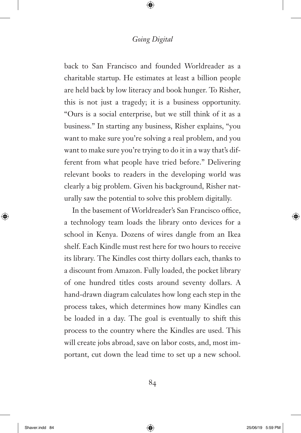back to San Francisco and founded Worldreader as a charitable startup. He estimates at least a billion people are held back by low literacy and book hunger. To Risher, this is not just a tragedy; it is a business opportunity. "Ours is a social enterprise, but we still think of it as a business." In starting any business, Risher explains, "you want to make sure you're solving a real problem, and you want to make sure you're trying to do it in a way that's different from what people have tried before." Delivering relevant books to readers in the developing world was clearly a big problem. Given his background, Risher naturally saw the potential to solve this problem digitally.

In the basement of Worldreader's San Francisco office, a technology team loads the library onto devices for a school in Kenya. Dozens of wires dangle from an Ikea shelf. Each Kindle must rest here for two hours to receive its library. The Kindles cost thirty dollars each, thanks to a discount from Amazon. Fully loaded, the pocket library of one hundred titles costs around seventy dollars. A hand-drawn diagram calculates how long each step in the process takes, which determines how many Kindles can be loaded in a day. The goal is eventually to shift this process to the country where the Kindles are used. This will create jobs abroad, save on labor costs, and, most important, cut down the lead time to set up a new school.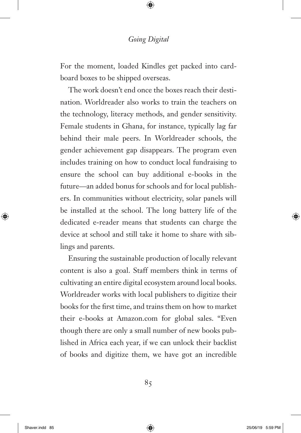For the moment, loaded Kindles get packed into cardboard boxes to be shipped overseas.

The work doesn't end once the boxes reach their destination. Worldreader also works to train the teachers on the technology, literacy methods, and gender sensitivity. Female students in Ghana, for instance, typically lag far behind their male peers. In Worldreader schools, the gender achievement gap disappears. The program even includes training on how to conduct local fundraising to ensure the school can buy additional e-books in the future—an added bonus for schools and for local publishers. In communities without electricity, solar panels will be installed at the school. The long battery life of the dedicated e-reader means that students can charge the device at school and still take it home to share with siblings and parents.

Ensuring the sustainable production of locally relevant content is also a goal. Staff members think in terms of cultivating an entire digital ecosystem around local books. Worldreader works with local publishers to digitize their books for the first time, and trains them on how to market their e-books at Amazon.com for global sales. "Even though there are only a small number of new books published in Africa each year, if we can unlock their backlist of books and digitize them, we have got an incredible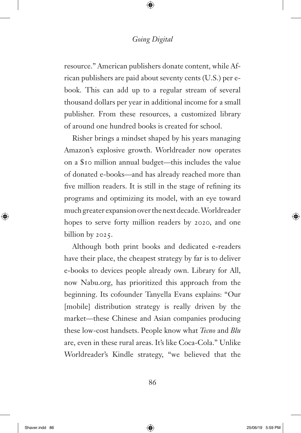resource." American publishers donate content, while African publishers are paid about seventy cents (U.S.) per ebook. This can add up to a regular stream of several thousand dollars per year in additional income for a small publisher. From these resources, a customized library of around one hundred books is created for school.

Risher brings a mindset shaped by his years managing Amazon's explosive growth. Worldreader now operates on a \$10 million annual budget—this includes the value of donated e-books—and has already reached more than five million readers. It is still in the stage of refining its programs and optimizing its model, with an eye toward much greater expansion over the next decade. Worldreader hopes to serve forty million readers by 2020, and one billion by 2025.

Although both print books and dedicated e-readers have their place, the cheapest strategy by far is to deliver e-books to devices people already own. Library for All, now Nabu.org, has prioritized this approach from the beginning. Its cofounder Tanyella Evans explains: "Our [mobile] distribution strategy is really driven by the market—these Chinese and Asian companies producing these low-cost handsets. People know what *Tecno* and *Blu* are, even in these rural areas. It's like Coca-Cola." Unlike Worldreader's Kindle strategy, "we believed that the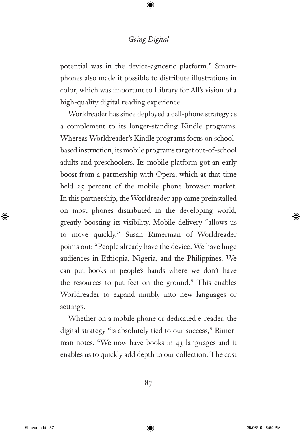potential was in the device-agnostic platform." Smartphones also made it possible to distribute illustrations in color, which was important to Library for All's vision of a high-quality digital reading experience.

Worldreader has since deployed a cell-phone strategy as a complement to its longer-standing Kindle programs. Whereas Worldreader's Kindle programs focus on schoolbased instruction, its mobile programs target out-of-school adults and preschoolers. Its mobile platform got an early boost from a partnership with Opera, which at that time held 25 percent of the mobile phone browser market. In this partnership, the Worldreader app came preinstalled on most phones distributed in the developing world, greatly boosting its visibility. Mobile delivery "allows us to move quickly," Susan Rimerman of Worldreader points out: "People already have the device. We have huge audiences in Ethiopia, Nigeria, and the Philippines. We can put books in people's hands where we don't have the resources to put feet on the ground." This enables Worldreader to expand nimbly into new languages or settings.

Whether on a mobile phone or dedicated e-reader, the digital strategy "is absolutely tied to our success," Rimerman notes. "We now have books in 43 languages and it enables us to quickly add depth to our collection. The cost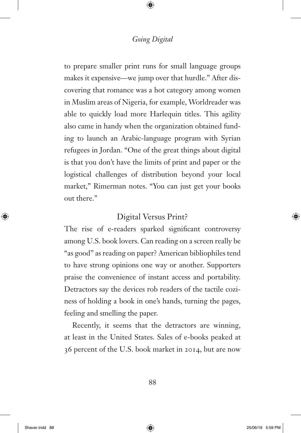to prepare smaller print runs for small language groups makes it expensive—we jump over that hurdle." After discovering that romance was a hot category among women in Muslim areas of Nigeria, for example, Worldreader was able to quickly load more Harlequin titles. This agility also came in handy when the organization obtained funding to launch an Arabic-language program with Syrian refugees in Jordan. "One of the great things about digital is that you don't have the limits of print and paper or the logistical challenges of distribution beyond your local market," Rimerman notes. "You can just get your books out there."

# Digital Versus Print?

The rise of e-readers sparked significant controversy among U.S. book lovers. Can reading on a screen really be "as good" as reading on paper? American bibliophiles tend to have strong opinions one way or another. Supporters praise the convenience of instant access and portability. Detractors say the devices rob readers of the tactile coziness of holding a book in one's hands, turning the pages, feeling and smelling the paper.

Recently, it seems that the detractors are winning, at least in the United States. Sales of e-books peaked at 36 percent of the U.S. book market in 2014, but are now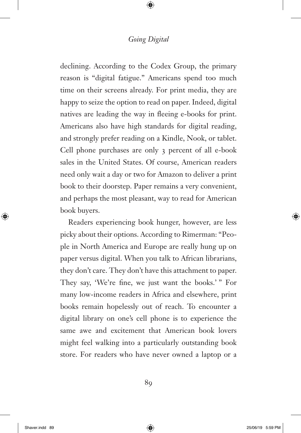declining. According to the Codex Group, the primary reason is "digital fatigue." Americans spend too much time on their screens already. For print media, they are happy to seize the option to read on paper. Indeed, digital natives are leading the way in fleeing e-books for print. Americans also have high standards for digital reading, and strongly prefer reading on a Kindle, Nook, or tablet. Cell phone purchases are only 3 percent of all e-book sales in the United States. Of course, American readers need only wait a day or two for Amazon to deliver a print book to their doorstep. Paper remains a very convenient, and perhaps the most pleasant, way to read for American book buyers.

Readers experiencing book hunger, however, are less picky about their options. According to Rimerman: "People in North America and Europe are really hung up on paper versus digital. When you talk to African librarians, they don't care. They don't have this attachment to paper. They say, 'We're fine, we just want the books.' " For many low-income readers in Africa and elsewhere, print books remain hopelessly out of reach. To encounter a digital library on one's cell phone is to experience the same awe and excitement that American book lovers might feel walking into a particularly outstanding book store. For readers who have never owned a laptop or a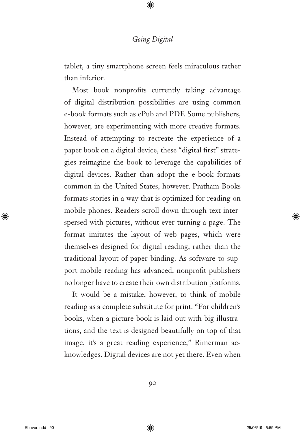tablet, a tiny smartphone screen feels miraculous rather than inferior.

Most book nonprofits currently taking advantage of digital distribution possibilities are using common e-book formats such as ePub and PDF. Some publishers, however, are experimenting with more creative formats. Instead of attempting to recreate the experience of a paper book on a digital device, these "digital first" strategies reimagine the book to leverage the capabilities of digital devices. Rather than adopt the e-book formats common in the United States, however, Pratham Books formats stories in a way that is optimized for reading on mobile phones. Readers scroll down through text interspersed with pictures, without ever turning a page. The format imitates the layout of web pages, which were themselves designed for digital reading, rather than the traditional layout of paper binding. As software to support mobile reading has advanced, nonprofit publishers no longer have to create their own distribution platforms.

It would be a mistake, however, to think of mobile reading as a complete substitute for print. "For children's books, when a picture book is laid out with big illustrations, and the text is designed beautifully on top of that image, it's a great reading experience," Rimerman acknowledges. Digital devices are not yet there. Even when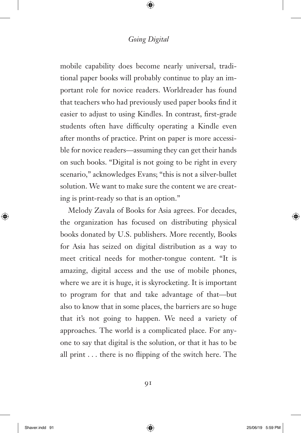mobile capability does become nearly universal, traditional paper books will probably continue to play an important role for novice readers. Worldreader has found that teachers who had previously used paper books find it easier to adjust to using Kindles. In contrast, first-grade students often have difficulty operating a Kindle even after months of practice. Print on paper is more accessible for novice readers—assuming they can get their hands on such books. "Digital is not going to be right in every scenario," acknowledges Evans; "this is not a silver-bullet solution. We want to make sure the content we are creating is print-ready so that is an option."

Melody Zavala of Books for Asia agrees. For decades, the organization has focused on distributing physical books donated by U.S. publishers. More recently, Books for Asia has seized on digital distribution as a way to meet critical needs for mother-tongue content. "It is amazing, digital access and the use of mobile phones, where we are it is huge, it is skyrocketing. It is important to program for that and take advantage of that—but also to know that in some places, the barriers are so huge that it's not going to happen. We need a variety of approaches. The world is a complicated place. For anyone to say that digital is the solution, or that it has to be all print  $\dots$  there is no flipping of the switch here. The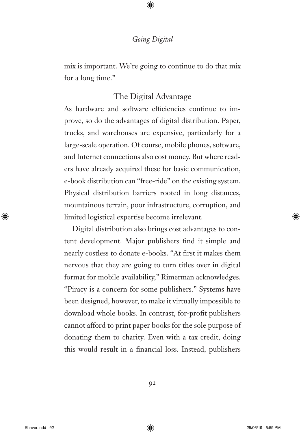mix is important. We're going to continue to do that mix for a long time."

# The Digital Advantage

As hardware and software efficiencies continue to improve, so do the advantages of digital distribution. Paper, trucks, and warehouses are expensive, particularly for a large-scale operation. Of course, mobile phones, software, and Internet connections also cost money. But where readers have already acquired these for basic communication, e-book distribution can "free-ride" on the existing system. Physical distribution barriers rooted in long distances, mountainous terrain, poor infrastructure, corruption, and limited logistical expertise become irrelevant.

Digital distribution also brings cost advantages to content development. Major publishers find it simple and nearly costless to donate e-books. "At first it makes them nervous that they are going to turn titles over in digital format for mobile availability," Rimerman acknowledges. "Piracy is a concern for some publishers." Systems have been designed, however, to make it virtually impossible to download whole books. In contrast, for-profit publishers cannot afford to print paper books for the sole purpose of donating them to charity. Even with a tax credit, doing this would result in a financial loss. Instead, publishers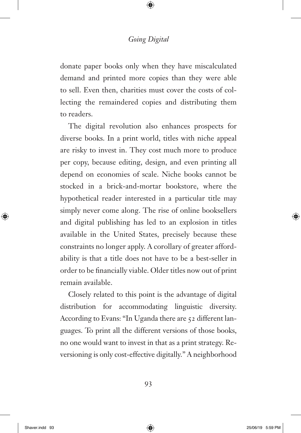donate paper books only when they have miscalculated demand and printed more copies than they were able to sell. Even then, charities must cover the costs of collecting the remaindered copies and distributing them to readers.

The digital revolution also enhances prospects for diverse books. In a print world, titles with niche appeal are risky to invest in. They cost much more to produce per copy, because editing, design, and even printing all depend on economies of scale. Niche books cannot be stocked in a brick-and-mortar bookstore, where the hypothetical reader interested in a particular title may simply never come along. The rise of online booksellers and digital publishing has led to an explosion in titles available in the United States, precisely because these constraints no longer apply. A corollary of greater affordability is that a title does not have to be a best-seller in order to be financially viable. Older titles now out of print remain available.

Closely related to this point is the advantage of digital distribution for accommodating linguistic diversity. According to Evans: "In Uganda there are 52 different languages. To print all the different versions of those books, no one would want to invest in that as a print strategy. Reversioning is only cost-effective digitally." A neighborhood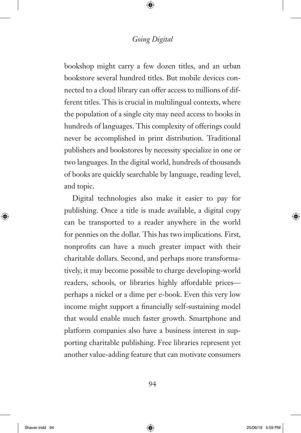bookshop might carry a few dozen titles, and an urban bookstore several hundred titles. But mobile devices connected to a cloud library can offer access to millions of different titles. This is crucial in multilingual contexts, where the population of a single city may need access to books in hundreds of languages. This complexity of offerings could never be accomplished in print distribution. Traditional publishers and bookstores by necessity specialize in one or two languages. In the digital world, hundreds of thousands of books are quickly searchable by language, reading level, and topic.

Digital technologies also make it easier to pay for publishing. Once a title is made available, a digital copy can be transported to a reader anywhere in the world for pennies on the dollar. This has two implications. First, nonprofits can have a much greater impact with their charitable dollars. Second, and perhaps more transformatively, it may become possible to charge developing-world readers, schools, or libraries highly affordable prices perhaps a nickel or a dime per e-book. Even this very low income might support a financially self-sustaining model that would enable much faster growth. Smartphone and platform companies also have a business interest in supporting charitable publishing. Free libraries represent yet another value-adding feature that can motivate consumers